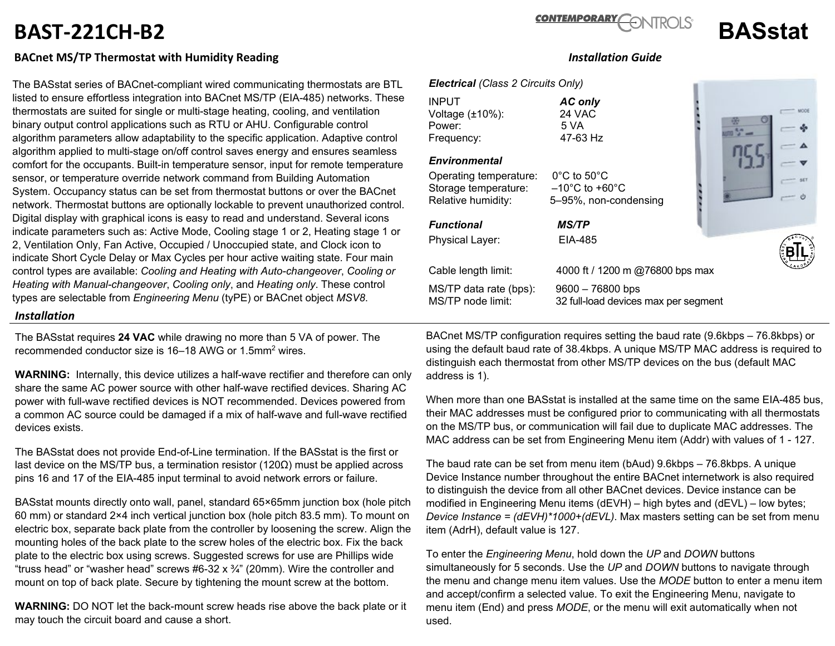# **BAST-221CH-B2 BASstat**

## **BACnet MS/TP Thermostat with Humidity Reading** *Installation Guide*

The BASstat series of BACnet-compliant wired communicating thermostats are BTL listed to ensure effortless integration into BACnet MS/TP (EIA-485) networks. These thermostats are suited for single or multi-stage heating, cooling, and ventilation binary output control applications such as RTU or AHU. Configurable control algorithm parameters allow adaptability to the specific application. Adaptive control algorithm applied to multi-stage on/off control saves energy and ensures seamless comfort for the occupants. Built-in temperature sensor, input for remote temperature sensor, or temperature override network command from Building Automation System. Occupancy status can be set from thermostat buttons or over the BACnet network. Thermostat buttons are optionally lockable to prevent unauthorized control. Digital display with graphical icons is easy to read and understand. Several icons indicate parameters such as: Active Mode, Cooling stage 1 or 2, Heating stage 1 or 2, Ventilation Only, Fan Active, Occupied / Unoccupied state, and Clock icon to indicate Short Cycle Delay or Max Cycles per hour active waiting state. Four main control types are available: *Cooling and Heating with Auto-changeover*, *Cooling or Heating with Manual-changeover*, *Cooling only*, and *Heating only*. These control types are selectable from *Engineering Menu* (tyPE) or BACnet object *MSV8*.

### *Installation*

The BASstat requires **24 VAC** while drawing no more than 5 VA of power. The recommended conductor size is 16–18 AWG or 1.5mm2 wires.

**WARNING:** Internally, this device utilizes a half-wave rectifier and therefore can only share the same AC power source with other half-wave rectified devices. Sharing AC power with full-wave rectified devices is NOT recommended. Devices powered from a common AC source could be damaged if a mix of half-wave and full-wave rectified devices exists.

The BASstat does not provide End-of-Line termination. If the BASstat is the first or last device on the MS/TP bus, a termination resistor  $(120\Omega)$  must be applied across pins 16 and 17 of the EIA-485 input terminal to avoid network errors or failure.

BASstat mounts directly onto wall, panel, standard 65×65mm junction box (hole pitch 60 mm) or standard 2×4 inch vertical junction box (hole pitch 83.5 mm). To mount on electric box, separate back plate from the controller by loosening the screw. Align the mounting holes of the back plate to the screw holes of the electric box. Fix the back plate to the electric box using screws. Suggested screws for use are Phillips wide "truss head" or "washer head" screws  $#6-32 \times \frac{3}{4}$ " (20mm). Wire the controller and mount on top of back plate. Secure by tightening the mount screw at the bottom.

**WARNING:** DO NOT let the back-mount screw heads rise above the back plate or it may touch the circuit board and cause a short.

### *Electrical (Class 2 Circuits Only)*

INPUT *AC only*  Voltage (±10%): 24 VAC Power: 5 VA<br>Frequency: 6 17-63 Hz Frequency:

#### *Environmental*

Operating temperature: 0°C to 50°C Storage temperature: –10°C to +60°C Relative humidity: 5–95%, non-condensing

Physical Layer: EIA-485

Cable length limit: 4000 ft / 1200 m @76800 bps max MS/TP data rate (bps): 9600 – 76800 bps

*Functional MS/TP*

MS/TP node limit: 32 full-load devices max per segment

BACnet MS/TP configuration requires setting the baud rate (9.6kbps – 76.8kbps) or using the default baud rate of 38.4kbps. A unique MS/TP MAC address is required to distinguish each thermostat from other MS/TP devices on the bus (default MAC address is 1).

When more than one BASstat is installed at the same time on the same EIA-485 bus, their MAC addresses must be configured prior to communicating with all thermostats on the MS/TP bus, or communication will fail due to duplicate MAC addresses. The MAC address can be set from Engineering Menu item (Addr) with values of 1 - 127.

The baud rate can be set from menu item (bAud) 9.6kbps – 76.8kbps. A unique Device Instance number throughout the entire BACnet internetwork is also required to distinguish the device from all other BACnet devices. Device instance can be modified in Engineering Menu items (dEVH) – high bytes and (dEVL) – low bytes; *Device Instance = (dEVH)\*1000+(dEVL)*. Max masters setting can be set from menu item (AdrH), default value is 127.

To enter the *Engineering Menu*, hold down the *UP* and *DOWN* buttons simultaneously for 5 seconds. Use the *UP* and *DOWN* buttons to navigate through the menu and change menu item values. Use the *MODE* button to enter a menu item and accept/confirm a selected value. To exit the Engineering Menu, navigate to menu item (End) and press *MODE*, or the menu will exit automatically when not used.